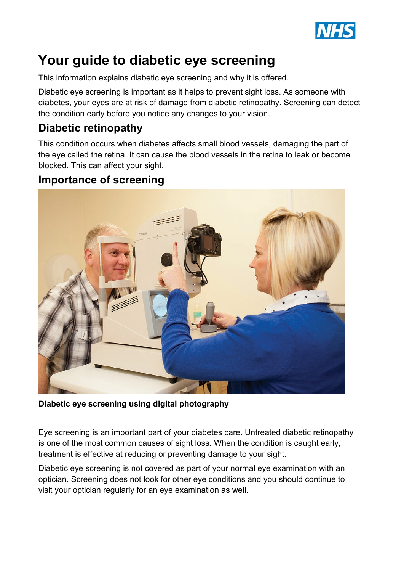

# **Your guide to diabetic eye screening**

This information explains diabetic eye screening and why it is offered.

Diabetic eye screening is important as it helps to prevent sight loss. As someone with diabetes, your eyes are at risk of damage from diabetic retinopathy. Screening can detect the condition early before you notice any changes to your vision.

## **Diabetic retinopathy**

This condition occurs when diabetes affects small blood vessels, damaging the part of the eye called the retina. It can cause the blood vessels in the retina to leak or become blocked. This can affect your sight.

#### **Importance of screening**



**Diabetic eye screening using digital photography**

Eye screening is an important part of your diabetes care. Untreated diabetic retinopathy is one of the most common causes of sight loss. When the condition is caught early, treatment is effective at reducing or preventing damage to your sight.

Diabetic eye screening is not covered as part of your normal eye examination with an optician. Screening does not look for other eye conditions and you should continue to visit your optician regularly for an eye examination as well.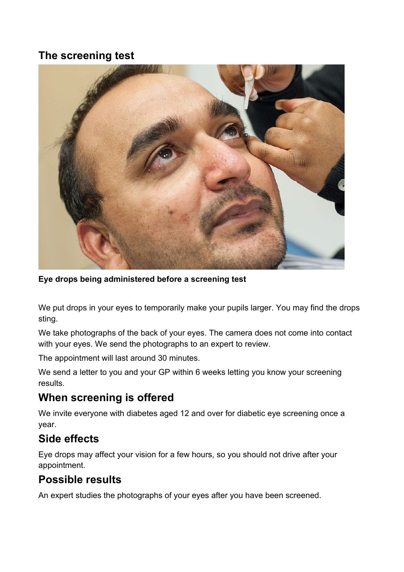#### **The screening test**



**Eye drops being administered before a screening test**

We put drops in your eyes to temporarily make your pupils larger. You may find the drops sting.

We take photographs of the back of your eyes. The camera does not come into contact with your eyes. We send the photographs to an expert to review.

The appointment will last around 30 minutes.

We send a letter to you and your GP within 6 weeks letting you know your screening results.

#### **When screening is offered**

We invite everyone with diabetes aged 12 and over for diabetic eye screening once a year.

### **Side effects**

Eye drops may affect your vision for a few hours, so you should not drive after your appointment.

#### **Possible results**

An expert studies the photographs of your eyes after you have been screened.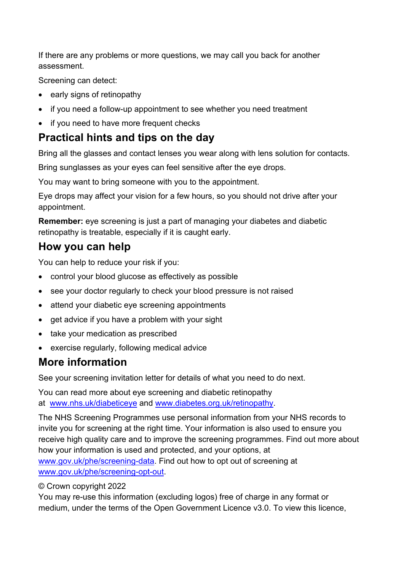If there are any problems or more questions, we may call you back for another assessment.

Screening can detect:

- early signs of retinopathy
- if you need a follow-up appointment to see whether you need treatment
- if you need to have more frequent checks

#### **Practical hints and tips on the day**

Bring all the glasses and contact lenses you wear along with lens solution for contacts.

Bring sunglasses as your eyes can feel sensitive after the eye drops.

You may want to bring someone with you to the appointment.

Eye drops may affect your vision for a few hours, so you should not drive after your appointment.

**Remember:** eye screening is just a part of managing your diabetes and diabetic retinopathy is treatable, especially if it is caught early.

### **How you can help**

You can help to reduce your risk if you:

- control your blood glucose as effectively as possible
- see your doctor regularly to check your blood pressure is not raised
- attend your diabetic eye screening appointments
- get advice if you have a problem with your sight
- take your medication as prescribed
- exercise regularly, following medical advice

# **More information**

See your screening invitation letter for details of what you need to do next.

You can read more about eye screening and diabetic retinopathy at [www.nhs.uk/diabeticeye](https://www.nhs.uk/diabeticeye) and [www.diabetes.org.uk/retinopathy.](https://www.diabetes.org.uk/retinopathy)

The NHS Screening Programmes use personal information from your NHS records to invite you for screening at the right time. Your information is also used to ensure you receive high quality care and to improve the screening programmes. Find out more about how your information is used and protected, and your options, at [www.gov.uk/phe/screening-data.](http://www.gov.uk/phe/screening-data) Find out how to opt out of screening at [www.gov.uk/phe/screening-opt-out.](http://www.gov.uk/phe/screening-opt-out)

#### © Crown copyright 2022

You may re-use this information (excluding logos) free of charge in any format or medium, under the terms of the Open Government Licence v3.0. To view this licence,